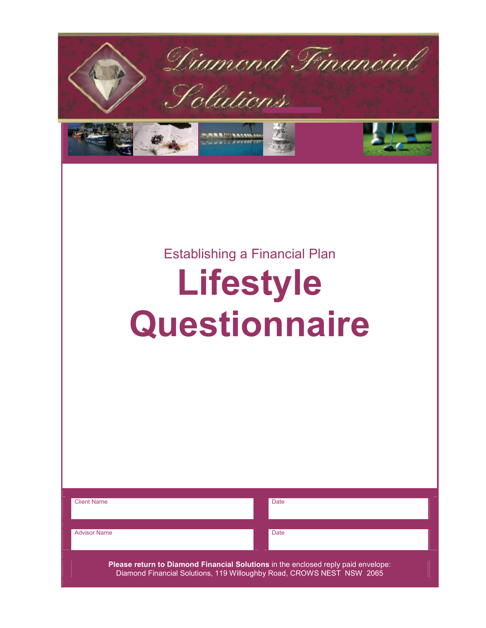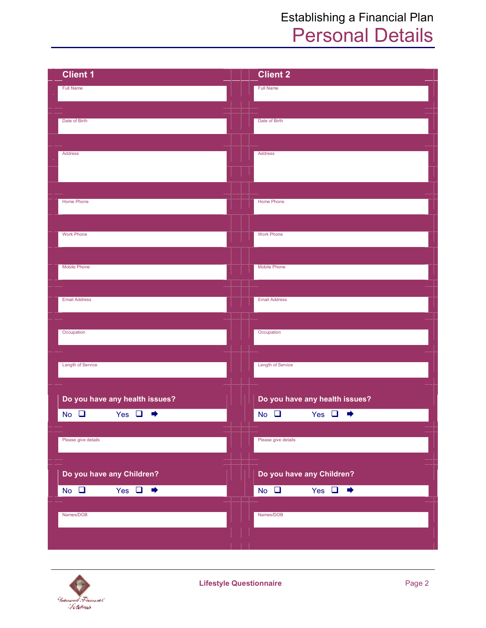## Establishing a Financial Plan Personal Details

| <b>Client 1</b>                       | <b>Client 2</b>                 |
|---------------------------------------|---------------------------------|
| <b>Full Name</b>                      | <b>Full Name</b>                |
|                                       |                                 |
| Date of Birth                         | Date of Birth                   |
|                                       |                                 |
| Address                               | Address                         |
|                                       |                                 |
|                                       |                                 |
| Home Phone                            | Home Phone                      |
|                                       |                                 |
| <b>Work Phone</b>                     | <b>Work Phone</b>               |
|                                       |                                 |
| Mobile Phone                          | <b>Mobile Phone</b>             |
|                                       |                                 |
| <b>Email Address</b>                  | <b>Email Address</b>            |
|                                       |                                 |
| Occupation                            | Occupation                      |
|                                       |                                 |
| Length of Service                     | <b>Length of Service</b>        |
|                                       |                                 |
| Do you have any health issues?        | Do you have any health issues?  |
| Yes $\Box$<br>$No$ $\Box$<br>➡        | $No$ $\Box$<br>Yes $\Box$<br>➡  |
|                                       |                                 |
| Please give details                   | Please give details             |
|                                       |                                 |
| Do you have any Children?             | Do you have any Children?       |
| Yes $\Box \rightarrow$<br>$No$ $\Box$ | No $\Box$<br>Yes $\Box \bullet$ |
| Names/DOB                             | Names/DOB                       |
|                                       |                                 |
|                                       |                                 |

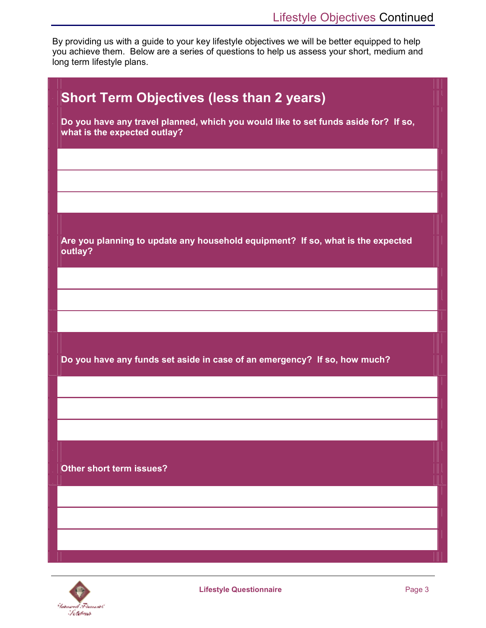By providing us with a guide to your key lifestyle objectives we will be better equipped to help you achieve them. Below are a series of questions to help us assess your short, medium and long term lifestyle plans.

| <b>Short Term Objectives (less than 2 years)</b>                                                                    |
|---------------------------------------------------------------------------------------------------------------------|
| Do you have any travel planned, which you would like to set funds aside for? If so,<br>what is the expected outlay? |
|                                                                                                                     |
|                                                                                                                     |
|                                                                                                                     |
| Are you planning to update any household equipment? If so, what is the expected<br>outlay?                          |
|                                                                                                                     |
|                                                                                                                     |
|                                                                                                                     |
| Do you have any funds set aside in case of an emergency? If so, how much?                                           |
|                                                                                                                     |
|                                                                                                                     |
|                                                                                                                     |
| Other short term issues?                                                                                            |
|                                                                                                                     |
|                                                                                                                     |
|                                                                                                                     |
|                                                                                                                     |

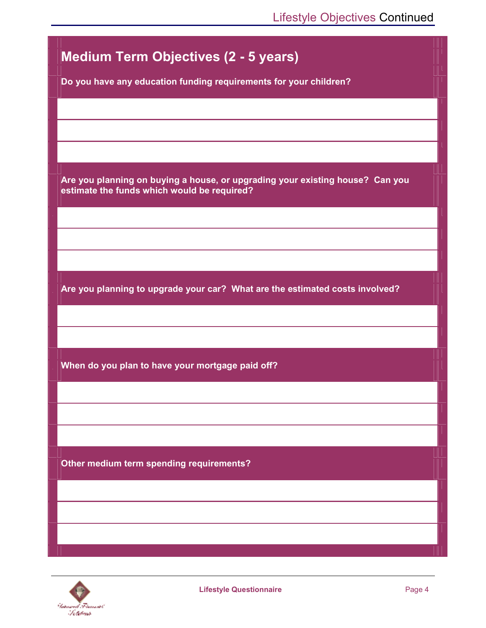## **Medium Term Objectives (2 - 5 years)**

**Do you have any education funding requirements for your children?** 

**Are you planning on buying a house, or upgrading your existing house? Can you estimate the funds which would be required?** 

**Are you planning to upgrade your car? What are the estimated costs involved?** 

**When do you plan to have your mortgage paid off?** 

**Other medium term spending requirements?** 

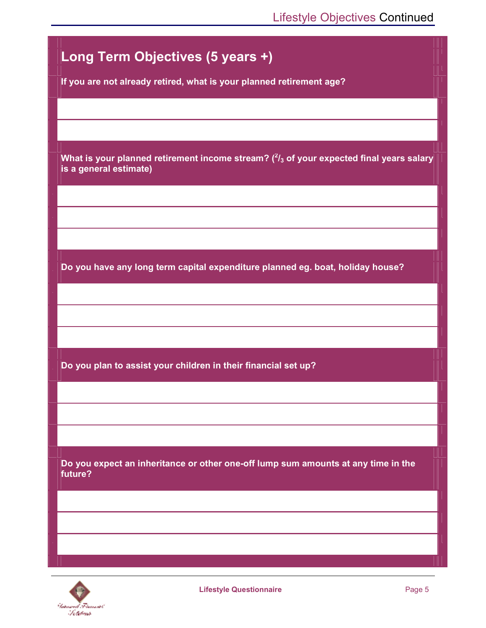

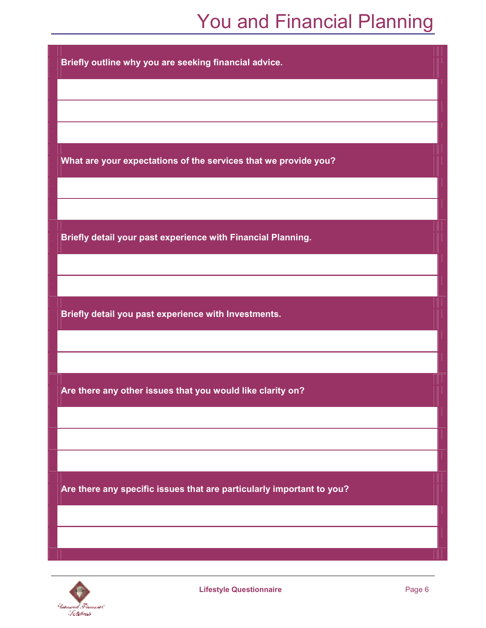## You and Financial Planning

**Briefly outline why you are seeking financial advice.** 

**What are your expectations of the services that we provide you?** 

**Briefly detail your past experience with Financial Planning.** 

**Briefly detail you past experience with Investments.** 

**Are there any other issues that you would like clarity on?** 

**Are there any specific issues that are particularly important to you?**